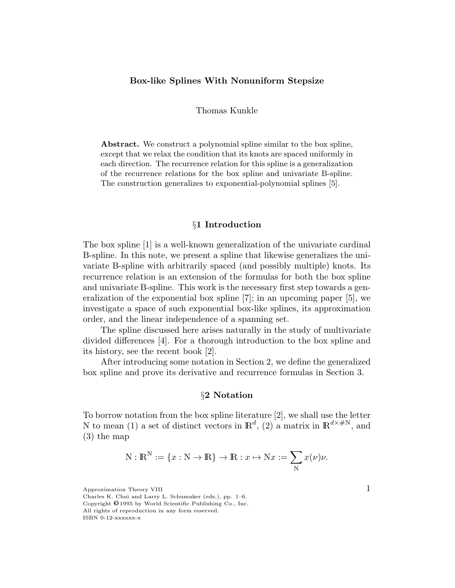## Box-like Splines With Nonuniform Stepsize

Thomas Kunkle

Abstract. We construct a polynomial spline similar to the box spline, except that we relax the condition that its knots are spaced uniformly in each direction. The recurrence relation for this spline is a generalization of the recurrence relations for the box spline and univariate B-spline. The construction generalizes to exponential-polynomial splines [5].

# §1 Introduction

The box spline [1] is a well-known generalization of the univariate cardinal B-spline. In this note, we present a spline that likewise generalizes the univariate B-spline with arbitrarily spaced (and possibly multiple) knots. Its recurrence relation is an extension of the formulas for both the box spline and univariate B-spline. This work is the necessary first step towards a generalization of the exponential box spline [7]; in an upcoming paper [5], we investigate a space of such exponential box-like splines, its approximation order, and the linear independence of a spanning set.

The spline discussed here arises naturally in the study of multivariate divided differences [4]. For a thorough introduction to the box spline and its history, see the recent book [2].

After introducing some notation in Section 2, we define the generalized box spline and prove its derivative and recurrence formulas in Section 3.

## §2 Notation

To borrow notation from the box spline literature [2], we shall use the letter N to mean (1) a set of distinct vectors in  $\mathbb{R}^d$ , (2) a matrix in  $\mathbb{R}^{d \times \#N}$ , and (3) the map

$$
N : \mathbb{R}^{N} := \{x : N \to \mathbb{R}\} \to \mathbb{R} : x \mapsto Nx := \sum_{N} x(\nu)\nu.
$$

 $\Delta$  Approximation Theory VIII  $1$ 

Charles K. Chui and Larry L. Schumaker (eds.), pp. 1–6. Copyright  $\Theta$  1995 by World Scientific Publishing Co., Inc. All rights of reproduction in any form reserved. ISBN 0-12-xxxxxx-x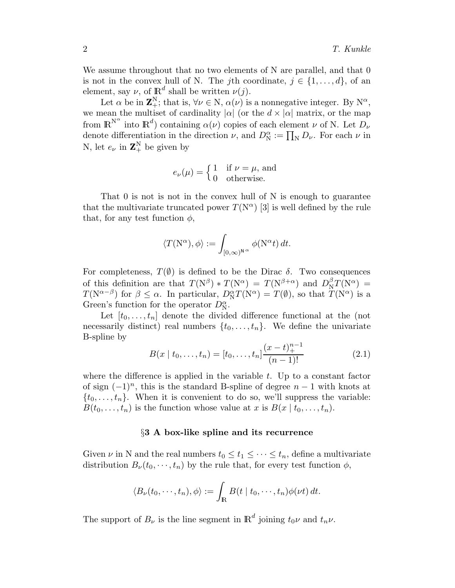We assume throughout that no two elements of N are parallel, and that 0 is not in the convex hull of N. The jth coordinate,  $j \in \{1, ..., d\}$ , of an element, say  $\nu$ , of  $\mathbb{R}^d$  shall be written  $\nu(j)$ .

Let  $\alpha$  be in  $\mathbb{Z}_+^N$ ; that is,  $\forall \nu \in \mathbb{N}$ ,  $\alpha(\nu)$  is a nonnegative integer. By  $\mathbb{N}^{\alpha}$ , we mean the multiset of cardinality  $|\alpha|$  (or the  $d \times |\alpha|$  matrix, or the map from  $\mathbb{R}^{\mathbb{N}^{\alpha}}$  into  $\mathbb{R}^{d}$  containing  $\alpha(\nu)$  copies of each element  $\nu$  of N. Let  $D_{\nu}$ denote differentiation in the direction  $\nu$ , and  $D_N^{\alpha} := \prod_N D_{\nu}$ . For each  $\nu$  in N, let  $e_{\nu}$  in  $\mathbf{Z}_{+}^{N}$  be given by

$$
e_{\nu}(\mu) = \begin{cases} 1 & \text{if } \nu = \mu, \text{ and} \\ 0 & \text{otherwise.} \end{cases}
$$

That 0 is not is not in the convex hull of N is enough to guarantee that the multivariate truncated power  $T(N^{\alpha})$  [3] is well defined by the rule that, for any test function  $\phi$ ,

$$
\langle T(\mathbf N^\alpha),\phi\rangle:=\int_{[0,\infty)^{\mathbf N^\alpha}}\phi(\mathbf N^\alpha t)\,dt.
$$

For completeness,  $T(\emptyset)$  is defined to be the Dirac  $\delta$ . Two consequences of this definition are that  $T(N^{\beta}) * T(N^{\alpha}) = T(N^{\beta+\alpha})$  and  $D_N^{\beta} T(N^{\alpha}) =$  $T(\mathbf{N}^{\alpha-\beta})$  for  $\beta \leq \alpha$ . In particular,  $D_{\mathbf{N}}^{\alpha}T(\mathbf{N}^{\alpha}) = T(\emptyset)$ , so that  $T(\mathbf{N}^{\alpha})$  is a Green's function for the operator  $D_N^{\alpha}$ .

Let  $[t_0, \ldots, t_n]$  denote the divided difference functional at the (not necessarily distinct) real numbers  $\{t_0, \ldots, t_n\}$ . We define the univariate B-spline by

$$
B(x \mid t_0, \ldots, t_n) = [t_0, \ldots, t_n] \frac{(x - t)_+^{n-1}}{(n-1)!}
$$
 (2.1)

where the difference is applied in the variable  $t$ . Up to a constant factor of sign  $(-1)^n$ , this is the standard B-spline of degree  $n-1$  with knots at  $\{t_0, \ldots, t_n\}$ . When it is convenient to do so, we'll suppress the variable:  $B(t_0, \ldots, t_n)$  is the function whose value at x is  $B(x | t_0, \ldots, t_n)$ .

## §3 A box-like spline and its recurrence

Given  $\nu$  in N and the real numbers  $t_0 \leq t_1 \leq \cdots \leq t_n$ , define a multivariate distribution  $B_{\nu}(t_0,\dots,t_n)$  by the rule that, for every test function  $\phi$ ,

$$
\langle B_{\nu}(t_0,\dots,t_n),\phi\rangle:=\int_{\mathbb{R}}B(t\mid t_0,\dots,t_n)\phi(\nu t)\,dt.
$$

The support of  $B_{\nu}$  is the line segment in  $\mathbb{R}^{d}$  joining  $t_{0}\nu$  and  $t_{n}\nu$ .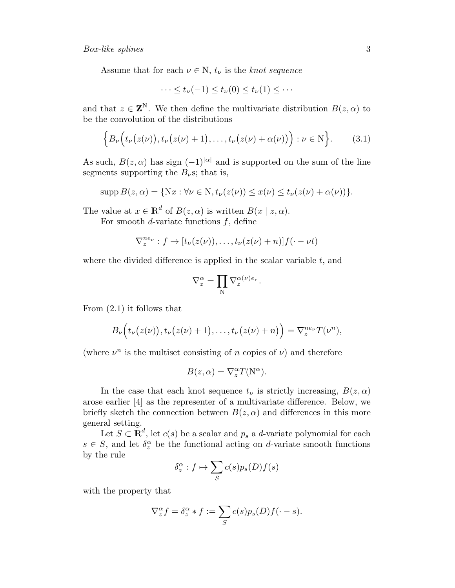Assume that for each  $\nu \in \mathbb{N}$ ,  $t_{\nu}$  is the knot sequence

$$
\cdots \leq t_{\nu}(-1) \leq t_{\nu}(0) \leq t_{\nu}(1) \leq \cdots
$$

and that  $z \in \mathbf{Z}^{N}$ . We then define the multivariate distribution  $B(z, \alpha)$  to be the convolution of the distributions

$$
\Big\{B_{\nu}\Big(t_{\nu}\big(z(\nu)\big),t_{\nu}\big(z(\nu)+1\big),\ldots,t_{\nu}\big(z(\nu)+\alpha(\nu)\big)\Big): \nu\in\mathbb{N}\Big\}.\tag{3.1}
$$

As such,  $B(z, \alpha)$  has sign  $(-1)^{|\alpha|}$  and is supported on the sum of the line segments supporting the  $B_{\nu}$ s; that is,

$$
supp B(z, \alpha) = \{ \mathbf{N}x : \forall \nu \in \mathbf{N}, t_{\nu}(z(\nu)) \leq x(\nu) \leq t_{\nu}(z(\nu) + \alpha(\nu)) \}.
$$

The value at  $x \in \mathbb{R}^d$  of  $B(z, \alpha)$  is written  $B(x \mid z, \alpha)$ .

For smooth *d*-variate functions  $f$ , define

$$
\nabla_z^{ne_{\nu}}:f\to[t_{\nu}(z(\nu)),\ldots,t_{\nu}(z(\nu)+n)]f(\cdot-\nu t)
$$

where the divided difference is applied in the scalar variable  $t$ , and

$$
\nabla_z^\alpha = \prod_{\mathbf{N}} \nabla_z^{\alpha(\nu) e_\nu}.
$$

From (2.1) it follows that

$$
B_{\nu}\Big(t_{\nu}\big(z(\nu)\big),t_{\nu}\big(z(\nu)+1\big),\ldots,t_{\nu}\big(z(\nu)+n\big)\Big)=\nabla_z^{ne_{\nu}}T(\nu^n),
$$

(where  $\nu^n$  is the multiset consisting of n copies of  $\nu$ ) and therefore

$$
B(z, \alpha) = \nabla_z^{\alpha} T(N^{\alpha}).
$$

In the case that each knot sequence  $t_{\nu}$  is strictly increasing,  $B(z, \alpha)$ arose earlier [4] as the representer of a multivariate difference. Below, we briefly sketch the connection between  $B(z, \alpha)$  and differences in this more general setting.

Let  $S \subset \mathbb{R}^d$ , let  $c(s)$  be a scalar and  $p_s$  a d-variate polynomial for each  $s \in S$ , and let  $\delta_z^{\alpha}$  be the functional acting on d-variate smooth functions by the rule

$$
\delta_z^{\alpha} : f \mapsto \sum_S c(s) p_s(D) f(s)
$$

with the property that

$$
\nabla_z^{\alpha} f = \delta_z^{\alpha} * f := \sum_S c(s) p_s(D) f(\cdot - s).
$$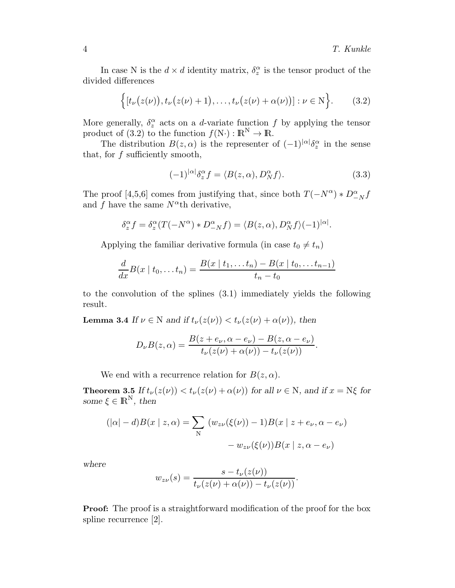In case N is the  $d \times d$  identity matrix,  $\delta_z^{\alpha}$  is the tensor product of the divided differences

$$
\Big\{ [t_{\nu}(z(\nu)), t_{\nu}(z(\nu)+1), \ldots, t_{\nu}(z(\nu)+\alpha(\nu))] : \nu \in \mathbb{N} \Big\}.
$$
 (3.2)

More generally,  $\delta_z^{\alpha}$  acts on a *d*-variate function f by applying the tensor product of (3.2) to the function  $f(N) : \mathbb{R}^N \to \mathbb{R}$ .

The distribution  $B(z, \alpha)$  is the representer of  $(-1)^{|\alpha|} \delta_z^{\alpha}$  in the sense that, for  $f$  sufficiently smooth,

$$
(-1)^{|\alpha|} \delta_z^{\alpha} f = \langle B(z, \alpha), D_N^{\alpha} f \rangle.
$$
 (3.3)

The proof [4,5,6] comes from justifying that, since both  $T(-N^{\alpha}) * D^{\alpha}_{-N}f$ and f have the same  $N^{\alpha}$ th derivative,

$$
\delta_z^{\alpha} f = \delta_z^{\alpha} (T(-N^{\alpha}) * D_{-N}^{\alpha} f) = \langle B(z, \alpha), D_N^{\alpha} f \rangle (-1)^{|\alpha|}.
$$

Applying the familiar derivative formula (in case  $t_0 \neq t_n$ )

$$
\frac{d}{dx}B(x \mid t_0, \dots t_n) = \frac{B(x \mid t_1, \dots t_n) - B(x \mid t_0, \dots t_{n-1})}{t_n - t_0}
$$

to the convolution of the splines (3.1) immediately yields the following result.

**Lemma 3.4** If  $\nu \in N$  and if  $t_{\nu}(z(\nu)) < t_{\nu}(z(\nu) + \alpha(\nu))$ , then

$$
D_{\nu}B(z,\alpha)=\frac{B(z+e_{\nu},\alpha-e_{\nu})-B(z,\alpha-e_{\nu})}{t_{\nu}(z(\nu)+\alpha(\nu))-t_{\nu}(z(\nu))}.
$$

We end with a recurrence relation for  $B(z, \alpha)$ .

**Theorem 3.5** If  $t_{\nu}(z(\nu)) < t_{\nu}(z(\nu) + \alpha(\nu))$  for all  $\nu \in N$ , and if  $x = N\xi$  for some  $\xi \in \mathbb{R}^N$ , then

$$
(|\alpha| - d)B(x \mid z, \alpha) = \sum_{N} (w_{z\nu}(\xi(\nu)) - 1)B(x \mid z + e_{\nu}, \alpha - e_{\nu})
$$

$$
- w_{z\nu}(\xi(\nu))B(x \mid z, \alpha - e_{\nu})
$$

where

$$
w_{z\nu}(s) = \frac{s - t_{\nu}(z(\nu))}{t_{\nu}(z(\nu) + \alpha(\nu)) - t_{\nu}(z(\nu))}.
$$

**Proof:** The proof is a straightforward modification of the proof for the box spline recurrence [2].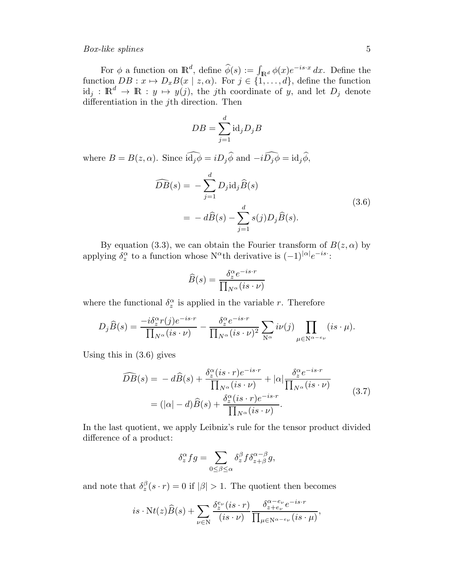#### Box-like splines 5

For  $\phi$  a function on  $\mathbb{R}^d$ , define  $\widehat{\phi}(s) := \int_{\mathbb{R}^d} \phi(x) e^{-is \cdot x} dx$ . Define the function  $DB: x \mapsto D_xB(x \mid z, \alpha)$ . For  $j \in \{1, ..., d\}$ , define the function  $id_j : \mathbb{R}^d \to \mathbb{R} : y \mapsto y(j)$ , the jth coordinate of y, and let  $D_j$  denote differentiation in the *j*th direction. Then

$$
DB = \sum_{j=1}^{d} \text{id}_{j} D_{j} B
$$

where  $B = B(z, \alpha)$ . Since  $\widehat{\mathrm{id}_j \phi} = i D_j \widehat{\phi}$  and  $-i \widehat{D_j \phi} = \mathrm{id}_j \widehat{\phi}$ ,

$$
\widehat{DB}(s) = -\sum_{j=1}^{d} D_j \text{id}_j \widehat{B}(s)
$$
  
= 
$$
-d\widehat{B}(s) - \sum_{j=1}^{d} s(j) D_j \widehat{B}(s).
$$
 (3.6)

By equation (3.3), we can obtain the Fourier transform of  $B(z, \alpha)$  by applying  $\delta_z^{\alpha}$  to a function whose N<sup>α</sup>th derivative is  $(-1)^{|\alpha|}e^{-is}$ :

$$
\widehat{B}(s) = \frac{\delta_z^{\alpha} e^{-is \cdot r}}{\prod_{N^{\alpha}} (is \cdot \nu)}
$$

where the functional  $\delta_z^{\alpha}$  is applied in the variable r. Therefore

$$
D_j\widehat{B}(s) = \frac{-i\delta_z^{\alpha}r(j)e^{-is\cdot r}}{\prod_{N^{\alpha}}(is\cdot \nu)} - \frac{\delta_z^{\alpha}e^{-is\cdot r}}{\prod_{N^{\alpha}}(is\cdot \nu)^2} \sum_{N^{\alpha}} i\nu(j) \prod_{\mu \in N^{\alpha - e_{\nu}}} (is\cdot \mu).
$$

Using this in (3.6) gives

$$
\widehat{DB}(s) = -d\widehat{B}(s) + \frac{\delta_z^{\alpha}(is \cdot r)e^{-is \cdot r}}{\prod_{N^{\alpha}}(is \cdot \nu)} + |\alpha| \frac{\delta_z^{\alpha}e^{-is \cdot r}}{\prod_{N^{\alpha}}(is \cdot \nu)}
$$
  
=  $(|\alpha| - d)\widehat{B}(s) + \frac{\delta_z^{\alpha}(is \cdot r)e^{-is \cdot r}}{\prod_{N^{\alpha}}(is \cdot \nu)}$ . (3.7)

In the last quotient, we apply Leibniz's rule for the tensor product divided difference of a product:

$$
\delta_z^{\alpha} fg = \sum_{0 \leq \beta \leq \alpha} \delta_z^{\beta} f \delta_{z+\beta}^{\alpha-\beta} g,
$$

and note that  $\delta_z^{\beta}(s \cdot r) = 0$  if  $|\beta| > 1$ . The quotient then becomes

$$
is \cdot \mathrm{N}t(z)\widehat{B}(s) + \sum_{\nu \in \mathrm{N}} \frac{\delta_{z}^{e_{\nu}}(is \cdot r)}{(is \cdot \nu)} \frac{\delta_{z+e_{\nu}}^{\alpha-e_{\nu}} e^{-is \cdot r}}{\prod_{\mu \in \mathrm{N}^{\alpha-e_{\nu}}}(is \cdot \mu)},
$$